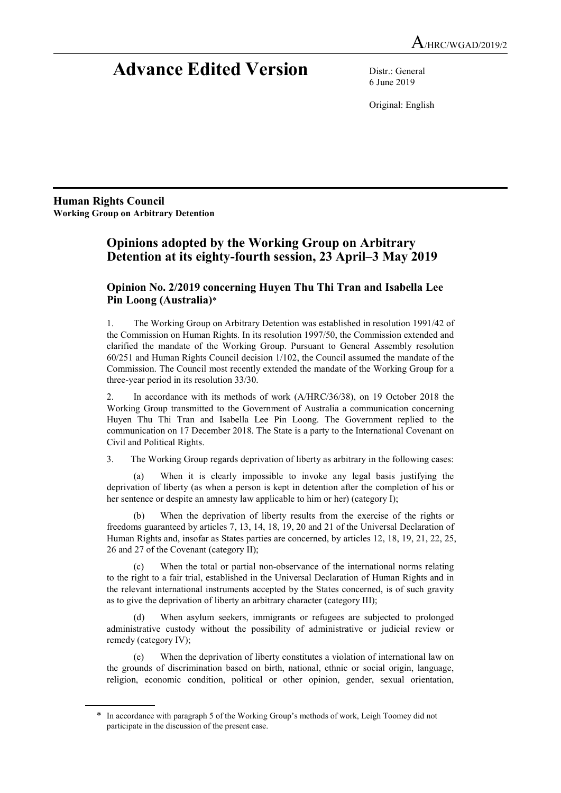# Advance Edited Version Distr.: General

6 June 2019

Original: English

Human Rights Council Working Group on Arbitrary Detention

 $\overline{a}$ 

# Opinions adopted by the Working Group on Arbitrary Detention at its eighty-fourth session, 23 April–3 May 2019

# Opinion No. 2/2019 concerning Huyen Thu Thi Tran and Isabella Lee Pin Loong (Australia)\*

1. The Working Group on Arbitrary Detention was established in resolution 1991/42 of the Commission on Human Rights. In its resolution 1997/50, the Commission extended and clarified the mandate of the Working Group. Pursuant to General Assembly resolution 60/251 and Human Rights Council decision 1/102, the Council assumed the mandate of the Commission. The Council most recently extended the mandate of the Working Group for a three-year period in its resolution 33/30.

2. In accordance with its methods of work (A/HRC/36/38), on 19 October 2018 the Working Group transmitted to the Government of Australia a communication concerning Huyen Thu Thi Tran and Isabella Lee Pin Loong. The Government replied to the communication on 17 December 2018. The State is a party to the International Covenant on Civil and Political Rights.

3. The Working Group regards deprivation of liberty as arbitrary in the following cases:

 (a) When it is clearly impossible to invoke any legal basis justifying the deprivation of liberty (as when a person is kept in detention after the completion of his or her sentence or despite an amnesty law applicable to him or her) (category I);

 (b) When the deprivation of liberty results from the exercise of the rights or freedoms guaranteed by articles 7, 13, 14, 18, 19, 20 and 21 of the Universal Declaration of Human Rights and, insofar as States parties are concerned, by articles 12, 18, 19, 21, 22, 25, 26 and 27 of the Covenant (category II);

When the total or partial non-observance of the international norms relating to the right to a fair trial, established in the Universal Declaration of Human Rights and in the relevant international instruments accepted by the States concerned, is of such gravity as to give the deprivation of liberty an arbitrary character (category III);

When asylum seekers, immigrants or refugees are subjected to prolonged administrative custody without the possibility of administrative or judicial review or remedy (category IV);

 (e) When the deprivation of liberty constitutes a violation of international law on the grounds of discrimination based on birth, national, ethnic or social origin, language, religion, economic condition, political or other opinion, gender, sexual orientation,

<sup>\*</sup> In accordance with paragraph 5 of the Working Group's methods of work, Leigh Toomey did not participate in the discussion of the present case.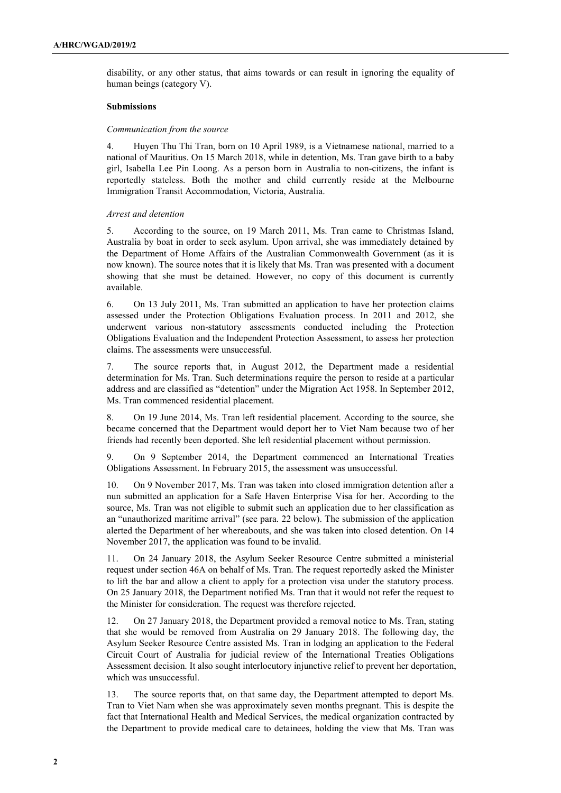disability, or any other status, that aims towards or can result in ignoring the equality of human beings (category V).

#### Submissions

#### Communication from the source

4. Huyen Thu Thi Tran, born on 10 April 1989, is a Vietnamese national, married to a national of Mauritius. On 15 March 2018, while in detention, Ms. Tran gave birth to a baby girl, Isabella Lee Pin Loong. As a person born in Australia to non-citizens, the infant is reportedly stateless. Both the mother and child currently reside at the Melbourne Immigration Transit Accommodation, Victoria, Australia.

#### Arrest and detention

5. According to the source, on 19 March 2011, Ms. Tran came to Christmas Island, Australia by boat in order to seek asylum. Upon arrival, she was immediately detained by the Department of Home Affairs of the Australian Commonwealth Government (as it is now known). The source notes that it is likely that Ms. Tran was presented with a document showing that she must be detained. However, no copy of this document is currently available.

6. On 13 July 2011, Ms. Tran submitted an application to have her protection claims assessed under the Protection Obligations Evaluation process. In 2011 and 2012, she underwent various non-statutory assessments conducted including the Protection Obligations Evaluation and the Independent Protection Assessment, to assess her protection claims. The assessments were unsuccessful.

7. The source reports that, in August 2012, the Department made a residential determination for Ms. Tran. Such determinations require the person to reside at a particular address and are classified as "detention" under the Migration Act 1958. In September 2012, Ms. Tran commenced residential placement.

8. On 19 June 2014, Ms. Tran left residential placement. According to the source, she became concerned that the Department would deport her to Viet Nam because two of her friends had recently been deported. She left residential placement without permission.

9. On 9 September 2014, the Department commenced an International Treaties Obligations Assessment. In February 2015, the assessment was unsuccessful.

10. On 9 November 2017, Ms. Tran was taken into closed immigration detention after a nun submitted an application for a Safe Haven Enterprise Visa for her. According to the source, Ms. Tran was not eligible to submit such an application due to her classification as an "unauthorized maritime arrival" (see para. 22 below). The submission of the application alerted the Department of her whereabouts, and she was taken into closed detention. On 14 November 2017, the application was found to be invalid.

11. On 24 January 2018, the Asylum Seeker Resource Centre submitted a ministerial request under section 46A on behalf of Ms. Tran. The request reportedly asked the Minister to lift the bar and allow a client to apply for a protection visa under the statutory process. On 25 January 2018, the Department notified Ms. Tran that it would not refer the request to the Minister for consideration. The request was therefore rejected.

12. On 27 January 2018, the Department provided a removal notice to Ms. Tran, stating that she would be removed from Australia on 29 January 2018. The following day, the Asylum Seeker Resource Centre assisted Ms. Tran in lodging an application to the Federal Circuit Court of Australia for judicial review of the International Treaties Obligations Assessment decision. It also sought interlocutory injunctive relief to prevent her deportation, which was unsuccessful.

13. The source reports that, on that same day, the Department attempted to deport Ms. Tran to Viet Nam when she was approximately seven months pregnant. This is despite the fact that International Health and Medical Services, the medical organization contracted by the Department to provide medical care to detainees, holding the view that Ms. Tran was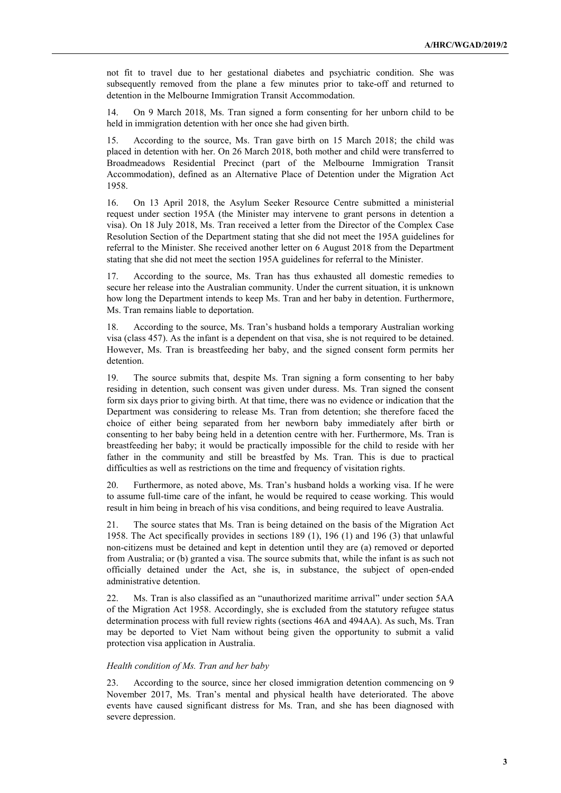not fit to travel due to her gestational diabetes and psychiatric condition. She was subsequently removed from the plane a few minutes prior to take-off and returned to detention in the Melbourne Immigration Transit Accommodation.

14. On 9 March 2018, Ms. Tran signed a form consenting for her unborn child to be held in immigration detention with her once she had given birth.

15. According to the source, Ms. Tran gave birth on 15 March 2018; the child was placed in detention with her. On 26 March 2018, both mother and child were transferred to Broadmeadows Residential Precinct (part of the Melbourne Immigration Transit Accommodation), defined as an Alternative Place of Detention under the Migration Act 1958.

16. On 13 April 2018, the Asylum Seeker Resource Centre submitted a ministerial request under section 195A (the Minister may intervene to grant persons in detention a visa). On 18 July 2018, Ms. Tran received a letter from the Director of the Complex Case Resolution Section of the Department stating that she did not meet the 195A guidelines for referral to the Minister. She received another letter on 6 August 2018 from the Department stating that she did not meet the section 195A guidelines for referral to the Minister.

17. According to the source, Ms. Tran has thus exhausted all domestic remedies to secure her release into the Australian community. Under the current situation, it is unknown how long the Department intends to keep Ms. Tran and her baby in detention. Furthermore, Ms. Tran remains liable to deportation.

18. According to the source, Ms. Tran's husband holds a temporary Australian working visa (class 457). As the infant is a dependent on that visa, she is not required to be detained. However, Ms. Tran is breastfeeding her baby, and the signed consent form permits her detention.

19. The source submits that, despite Ms. Tran signing a form consenting to her baby residing in detention, such consent was given under duress. Ms. Tran signed the consent form six days prior to giving birth. At that time, there was no evidence or indication that the Department was considering to release Ms. Tran from detention; she therefore faced the choice of either being separated from her newborn baby immediately after birth or consenting to her baby being held in a detention centre with her. Furthermore, Ms. Tran is breastfeeding her baby; it would be practically impossible for the child to reside with her father in the community and still be breastfed by Ms. Tran. This is due to practical difficulties as well as restrictions on the time and frequency of visitation rights.

20. Furthermore, as noted above, Ms. Tran's husband holds a working visa. If he were to assume full-time care of the infant, he would be required to cease working. This would result in him being in breach of his visa conditions, and being required to leave Australia.

21. The source states that Ms. Tran is being detained on the basis of the Migration Act 1958. The Act specifically provides in sections 189 (1), 196 (1) and 196 (3) that unlawful non-citizens must be detained and kept in detention until they are (a) removed or deported from Australia; or (b) granted a visa. The source submits that, while the infant is as such not officially detained under the Act, she is, in substance, the subject of open-ended administrative detention.

22. Ms. Tran is also classified as an "unauthorized maritime arrival" under section 5AA of the Migration Act 1958. Accordingly, she is excluded from the statutory refugee status determination process with full review rights (sections 46A and 494AA). As such, Ms. Tran may be deported to Viet Nam without being given the opportunity to submit a valid protection visa application in Australia.

# Health condition of Ms. Tran and her baby

23. According to the source, since her closed immigration detention commencing on 9 November 2017, Ms. Tran's mental and physical health have deteriorated. The above events have caused significant distress for Ms. Tran, and she has been diagnosed with severe depression.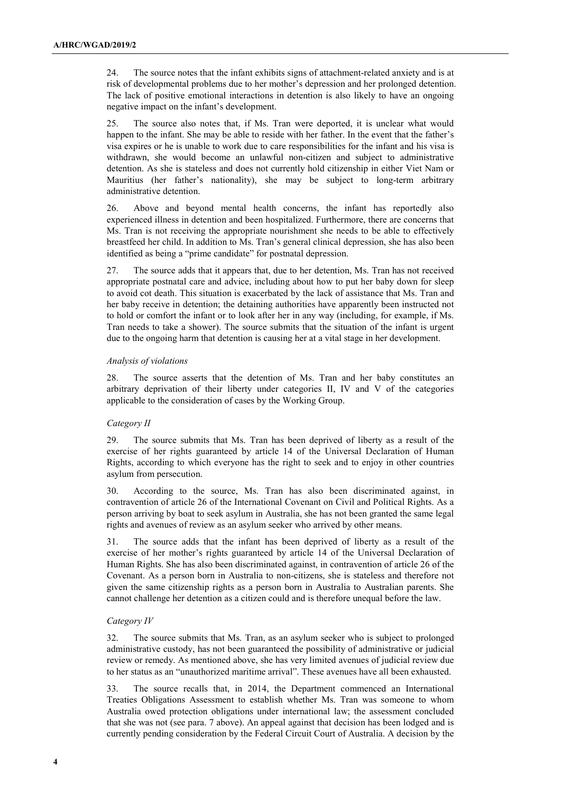24. The source notes that the infant exhibits signs of attachment-related anxiety and is at risk of developmental problems due to her mother's depression and her prolonged detention. The lack of positive emotional interactions in detention is also likely to have an ongoing negative impact on the infant's development.

25. The source also notes that, if Ms. Tran were deported, it is unclear what would happen to the infant. She may be able to reside with her father. In the event that the father's visa expires or he is unable to work due to care responsibilities for the infant and his visa is withdrawn, she would become an unlawful non-citizen and subject to administrative detention. As she is stateless and does not currently hold citizenship in either Viet Nam or Mauritius (her father's nationality), she may be subject to long-term arbitrary administrative detention.

26. Above and beyond mental health concerns, the infant has reportedly also experienced illness in detention and been hospitalized. Furthermore, there are concerns that Ms. Tran is not receiving the appropriate nourishment she needs to be able to effectively breastfeed her child. In addition to Ms. Tran's general clinical depression, she has also been identified as being a "prime candidate" for postnatal depression.

27. The source adds that it appears that, due to her detention, Ms. Tran has not received appropriate postnatal care and advice, including about how to put her baby down for sleep to avoid cot death. This situation is exacerbated by the lack of assistance that Ms. Tran and her baby receive in detention; the detaining authorities have apparently been instructed not to hold or comfort the infant or to look after her in any way (including, for example, if Ms. Tran needs to take a shower). The source submits that the situation of the infant is urgent due to the ongoing harm that detention is causing her at a vital stage in her development.

# Analysis of violations

28. The source asserts that the detention of Ms. Tran and her baby constitutes an arbitrary deprivation of their liberty under categories II, IV and V of the categories applicable to the consideration of cases by the Working Group.

# Category II

29. The source submits that Ms. Tran has been deprived of liberty as a result of the exercise of her rights guaranteed by article 14 of the Universal Declaration of Human Rights, according to which everyone has the right to seek and to enjoy in other countries asylum from persecution.

30. According to the source, Ms. Tran has also been discriminated against, in contravention of article 26 of the International Covenant on Civil and Political Rights. As a person arriving by boat to seek asylum in Australia, she has not been granted the same legal rights and avenues of review as an asylum seeker who arrived by other means.

31. The source adds that the infant has been deprived of liberty as a result of the exercise of her mother's rights guaranteed by article 14 of the Universal Declaration of Human Rights. She has also been discriminated against, in contravention of article 26 of the Covenant. As a person born in Australia to non-citizens, she is stateless and therefore not given the same citizenship rights as a person born in Australia to Australian parents. She cannot challenge her detention as a citizen could and is therefore unequal before the law.

# Category IV

32. The source submits that Ms. Tran, as an asylum seeker who is subject to prolonged administrative custody, has not been guaranteed the possibility of administrative or judicial review or remedy. As mentioned above, she has very limited avenues of judicial review due to her status as an "unauthorized maritime arrival". These avenues have all been exhausted.

33. The source recalls that, in 2014, the Department commenced an International Treaties Obligations Assessment to establish whether Ms. Tran was someone to whom Australia owed protection obligations under international law; the assessment concluded that she was not (see para. 7 above). An appeal against that decision has been lodged and is currently pending consideration by the Federal Circuit Court of Australia. A decision by the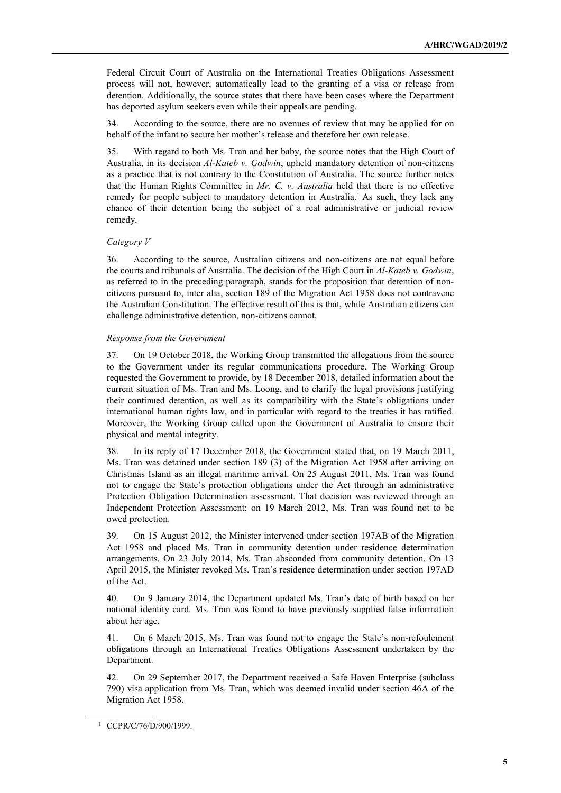Federal Circuit Court of Australia on the International Treaties Obligations Assessment process will not, however, automatically lead to the granting of a visa or release from detention. Additionally, the source states that there have been cases where the Department has deported asylum seekers even while their appeals are pending.

34. According to the source, there are no avenues of review that may be applied for on behalf of the infant to secure her mother's release and therefore her own release.

35. With regard to both Ms. Tran and her baby, the source notes that the High Court of Australia, in its decision Al-Kateb v. Godwin, upheld mandatory detention of non-citizens as a practice that is not contrary to the Constitution of Australia. The source further notes that the Human Rights Committee in  $Mr.$  C. v. Australia held that there is no effective remedy for people subject to mandatory detention in Australia.<sup>1</sup> As such, they lack any chance of their detention being the subject of a real administrative or judicial review remedy.

# Category V

36. According to the source, Australian citizens and non-citizens are not equal before the courts and tribunals of Australia. The decision of the High Court in  $Al-Kateb$  v. Godwin, as referred to in the preceding paragraph, stands for the proposition that detention of noncitizens pursuant to, inter alia, section 189 of the Migration Act 1958 does not contravene the Australian Constitution. The effective result of this is that, while Australian citizens can challenge administrative detention, non-citizens cannot.

#### Response from the Government

37. On 19 October 2018, the Working Group transmitted the allegations from the source to the Government under its regular communications procedure. The Working Group requested the Government to provide, by 18 December 2018, detailed information about the current situation of Ms. Tran and Ms. Loong, and to clarify the legal provisions justifying their continued detention, as well as its compatibility with the State's obligations under international human rights law, and in particular with regard to the treaties it has ratified. Moreover, the Working Group called upon the Government of Australia to ensure their physical and mental integrity.

38. In its reply of 17 December 2018, the Government stated that, on 19 March 2011, Ms. Tran was detained under section 189 (3) of the Migration Act 1958 after arriving on Christmas Island as an illegal maritime arrival. On 25 August 2011, Ms. Tran was found not to engage the State's protection obligations under the Act through an administrative Protection Obligation Determination assessment. That decision was reviewed through an Independent Protection Assessment; on 19 March 2012, Ms. Tran was found not to be owed protection.

39. On 15 August 2012, the Minister intervened under section 197AB of the Migration Act 1958 and placed Ms. Tran in community detention under residence determination arrangements. On 23 July 2014, Ms. Tran absconded from community detention. On 13 April 2015, the Minister revoked Ms. Tran's residence determination under section 197AD of the Act.

40. On 9 January 2014, the Department updated Ms. Tran's date of birth based on her national identity card. Ms. Tran was found to have previously supplied false information about her age.

41. On 6 March 2015, Ms. Tran was found not to engage the State's non-refoulement obligations through an International Treaties Obligations Assessment undertaken by the Department.

42. On 29 September 2017, the Department received a Safe Haven Enterprise (subclass 790) visa application from Ms. Tran, which was deemed invalid under section 46A of the Migration Act 1958.

<sup>1</sup> CCPR/C/76/D/900/1999.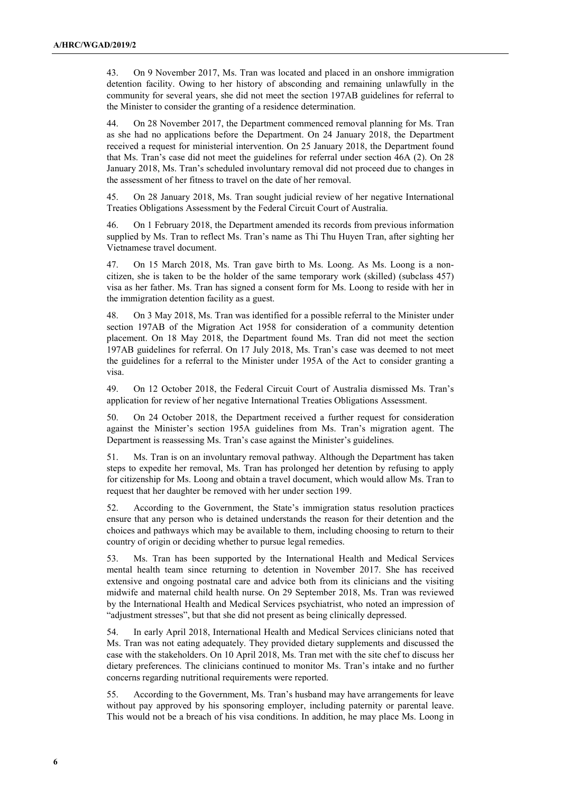43. On 9 November 2017, Ms. Tran was located and placed in an onshore immigration detention facility. Owing to her history of absconding and remaining unlawfully in the community for several years, she did not meet the section 197AB guidelines for referral to the Minister to consider the granting of a residence determination.

44. On 28 November 2017, the Department commenced removal planning for Ms. Tran as she had no applications before the Department. On 24 January 2018, the Department received a request for ministerial intervention. On 25 January 2018, the Department found that Ms. Tran's case did not meet the guidelines for referral under section 46A (2). On 28 January 2018, Ms. Tran's scheduled involuntary removal did not proceed due to changes in the assessment of her fitness to travel on the date of her removal.

45. On 28 January 2018, Ms. Tran sought judicial review of her negative International Treaties Obligations Assessment by the Federal Circuit Court of Australia.

46. On 1 February 2018, the Department amended its records from previous information supplied by Ms. Tran to reflect Ms. Tran's name as Thi Thu Huyen Tran, after sighting her Vietnamese travel document.

47. On 15 March 2018, Ms. Tran gave birth to Ms. Loong. As Ms. Loong is a noncitizen, she is taken to be the holder of the same temporary work (skilled) (subclass 457) visa as her father. Ms. Tran has signed a consent form for Ms. Loong to reside with her in the immigration detention facility as a guest.

48. On 3 May 2018, Ms. Tran was identified for a possible referral to the Minister under section 197AB of the Migration Act 1958 for consideration of a community detention placement. On 18 May 2018, the Department found Ms. Tran did not meet the section 197AB guidelines for referral. On 17 July 2018, Ms. Tran's case was deemed to not meet the guidelines for a referral to the Minister under 195A of the Act to consider granting a visa.

49. On 12 October 2018, the Federal Circuit Court of Australia dismissed Ms. Tran's application for review of her negative International Treaties Obligations Assessment.

50. On 24 October 2018, the Department received a further request for consideration against the Minister's section 195A guidelines from Ms. Tran's migration agent. The Department is reassessing Ms. Tran's case against the Minister's guidelines.

51. Ms. Tran is on an involuntary removal pathway. Although the Department has taken steps to expedite her removal, Ms. Tran has prolonged her detention by refusing to apply for citizenship for Ms. Loong and obtain a travel document, which would allow Ms. Tran to request that her daughter be removed with her under section 199.

52. According to the Government, the State's immigration status resolution practices ensure that any person who is detained understands the reason for their detention and the choices and pathways which may be available to them, including choosing to return to their country of origin or deciding whether to pursue legal remedies.

53. Ms. Tran has been supported by the International Health and Medical Services mental health team since returning to detention in November 2017. She has received extensive and ongoing postnatal care and advice both from its clinicians and the visiting midwife and maternal child health nurse. On 29 September 2018, Ms. Tran was reviewed by the International Health and Medical Services psychiatrist, who noted an impression of "adjustment stresses", but that she did not present as being clinically depressed.

54. In early April 2018, International Health and Medical Services clinicians noted that Ms. Tran was not eating adequately. They provided dietary supplements and discussed the case with the stakeholders. On 10 April 2018, Ms. Tran met with the site chef to discuss her dietary preferences. The clinicians continued to monitor Ms. Tran's intake and no further concerns regarding nutritional requirements were reported.

55. According to the Government, Ms. Tran's husband may have arrangements for leave without pay approved by his sponsoring employer, including paternity or parental leave. This would not be a breach of his visa conditions. In addition, he may place Ms. Loong in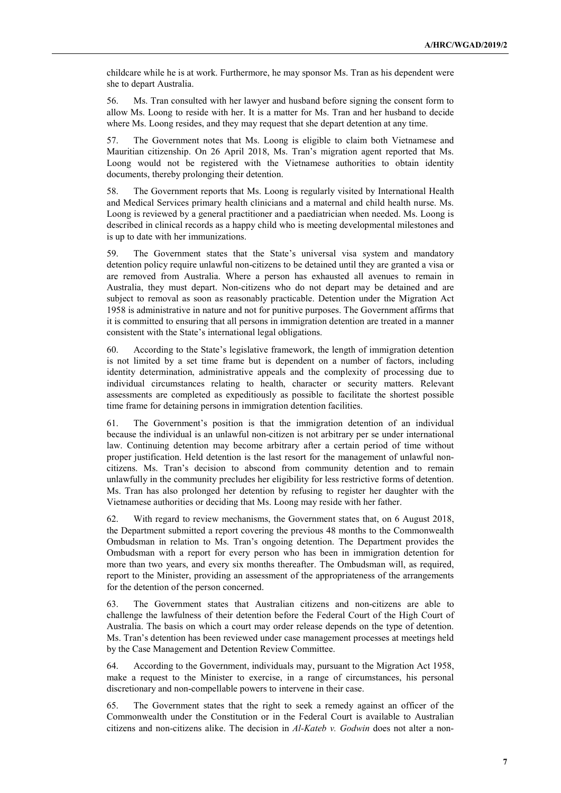childcare while he is at work. Furthermore, he may sponsor Ms. Tran as his dependent were she to depart Australia.

56. Ms. Tran consulted with her lawyer and husband before signing the consent form to allow Ms. Loong to reside with her. It is a matter for Ms. Tran and her husband to decide where Ms. Loong resides, and they may request that she depart detention at any time.

57. The Government notes that Ms. Loong is eligible to claim both Vietnamese and Mauritian citizenship. On 26 April 2018, Ms. Tran's migration agent reported that Ms. Loong would not be registered with the Vietnamese authorities to obtain identity documents, thereby prolonging their detention.

58. The Government reports that Ms. Loong is regularly visited by International Health and Medical Services primary health clinicians and a maternal and child health nurse. Ms. Loong is reviewed by a general practitioner and a paediatrician when needed. Ms. Loong is described in clinical records as a happy child who is meeting developmental milestones and is up to date with her immunizations.

59. The Government states that the State's universal visa system and mandatory detention policy require unlawful non-citizens to be detained until they are granted a visa or are removed from Australia. Where a person has exhausted all avenues to remain in Australia, they must depart. Non-citizens who do not depart may be detained and are subject to removal as soon as reasonably practicable. Detention under the Migration Act 1958 is administrative in nature and not for punitive purposes. The Government affirms that it is committed to ensuring that all persons in immigration detention are treated in a manner consistent with the State's international legal obligations.

60. According to the State's legislative framework, the length of immigration detention is not limited by a set time frame but is dependent on a number of factors, including identity determination, administrative appeals and the complexity of processing due to individual circumstances relating to health, character or security matters. Relevant assessments are completed as expeditiously as possible to facilitate the shortest possible time frame for detaining persons in immigration detention facilities.

61. The Government's position is that the immigration detention of an individual because the individual is an unlawful non-citizen is not arbitrary per se under international law. Continuing detention may become arbitrary after a certain period of time without proper justification. Held detention is the last resort for the management of unlawful noncitizens. Ms. Tran's decision to abscond from community detention and to remain unlawfully in the community precludes her eligibility for less restrictive forms of detention. Ms. Tran has also prolonged her detention by refusing to register her daughter with the Vietnamese authorities or deciding that Ms. Loong may reside with her father.

62. With regard to review mechanisms, the Government states that, on 6 August 2018, the Department submitted a report covering the previous 48 months to the Commonwealth Ombudsman in relation to Ms. Tran's ongoing detention. The Department provides the Ombudsman with a report for every person who has been in immigration detention for more than two years, and every six months thereafter. The Ombudsman will, as required, report to the Minister, providing an assessment of the appropriateness of the arrangements for the detention of the person concerned.

63. The Government states that Australian citizens and non-citizens are able to challenge the lawfulness of their detention before the Federal Court of the High Court of Australia. The basis on which a court may order release depends on the type of detention. Ms. Tran's detention has been reviewed under case management processes at meetings held by the Case Management and Detention Review Committee.

64. According to the Government, individuals may, pursuant to the Migration Act 1958, make a request to the Minister to exercise, in a range of circumstances, his personal discretionary and non-compellable powers to intervene in their case.

65. The Government states that the right to seek a remedy against an officer of the Commonwealth under the Constitution or in the Federal Court is available to Australian citizens and non-citizens alike. The decision in  $Al-Kateb$  v. Godwin does not alter a non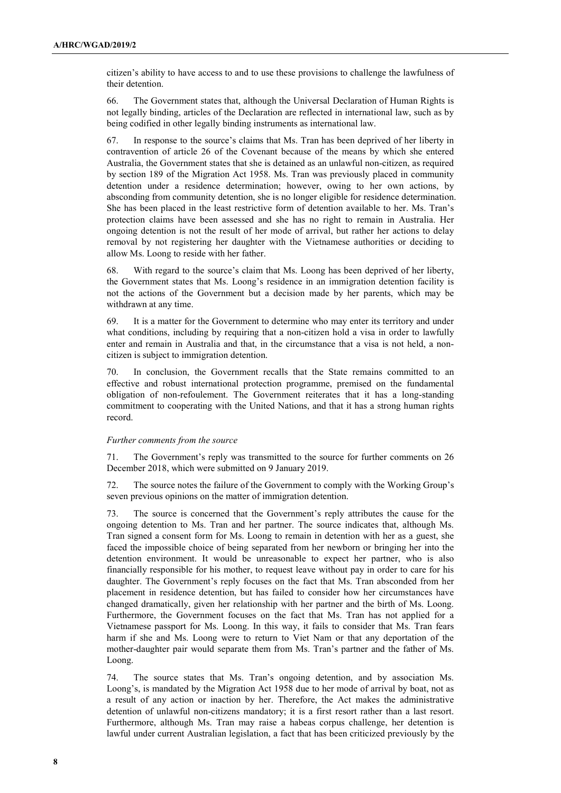citizen's ability to have access to and to use these provisions to challenge the lawfulness of their detention.

66. The Government states that, although the Universal Declaration of Human Rights is not legally binding, articles of the Declaration are reflected in international law, such as by being codified in other legally binding instruments as international law.

67. In response to the source's claims that Ms. Tran has been deprived of her liberty in contravention of article 26 of the Covenant because of the means by which she entered Australia, the Government states that she is detained as an unlawful non-citizen, as required by section 189 of the Migration Act 1958. Ms. Tran was previously placed in community detention under a residence determination; however, owing to her own actions, by absconding from community detention, she is no longer eligible for residence determination. She has been placed in the least restrictive form of detention available to her. Ms. Tran's protection claims have been assessed and she has no right to remain in Australia. Her ongoing detention is not the result of her mode of arrival, but rather her actions to delay removal by not registering her daughter with the Vietnamese authorities or deciding to allow Ms. Loong to reside with her father.

68. With regard to the source's claim that Ms. Loong has been deprived of her liberty, the Government states that Ms. Loong's residence in an immigration detention facility is not the actions of the Government but a decision made by her parents, which may be withdrawn at any time.

69. It is a matter for the Government to determine who may enter its territory and under what conditions, including by requiring that a non-citizen hold a visa in order to lawfully enter and remain in Australia and that, in the circumstance that a visa is not held, a noncitizen is subject to immigration detention.

70. In conclusion, the Government recalls that the State remains committed to an effective and robust international protection programme, premised on the fundamental obligation of non-refoulement. The Government reiterates that it has a long-standing commitment to cooperating with the United Nations, and that it has a strong human rights record.

# Further comments from the source

71. The Government's reply was transmitted to the source for further comments on 26 December 2018, which were submitted on 9 January 2019.

72. The source notes the failure of the Government to comply with the Working Group's seven previous opinions on the matter of immigration detention.

73. The source is concerned that the Government's reply attributes the cause for the ongoing detention to Ms. Tran and her partner. The source indicates that, although Ms. Tran signed a consent form for Ms. Loong to remain in detention with her as a guest, she faced the impossible choice of being separated from her newborn or bringing her into the detention environment. It would be unreasonable to expect her partner, who is also financially responsible for his mother, to request leave without pay in order to care for his daughter. The Government's reply focuses on the fact that Ms. Tran absconded from her placement in residence detention, but has failed to consider how her circumstances have changed dramatically, given her relationship with her partner and the birth of Ms. Loong. Furthermore, the Government focuses on the fact that Ms. Tran has not applied for a Vietnamese passport for Ms. Loong. In this way, it fails to consider that Ms. Tran fears harm if she and Ms. Loong were to return to Viet Nam or that any deportation of the mother-daughter pair would separate them from Ms. Tran's partner and the father of Ms. Loong.

74. The source states that Ms. Tran's ongoing detention, and by association Ms. Loong's, is mandated by the Migration Act 1958 due to her mode of arrival by boat, not as a result of any action or inaction by her. Therefore, the Act makes the administrative detention of unlawful non-citizens mandatory; it is a first resort rather than a last resort. Furthermore, although Ms. Tran may raise a habeas corpus challenge, her detention is lawful under current Australian legislation, a fact that has been criticized previously by the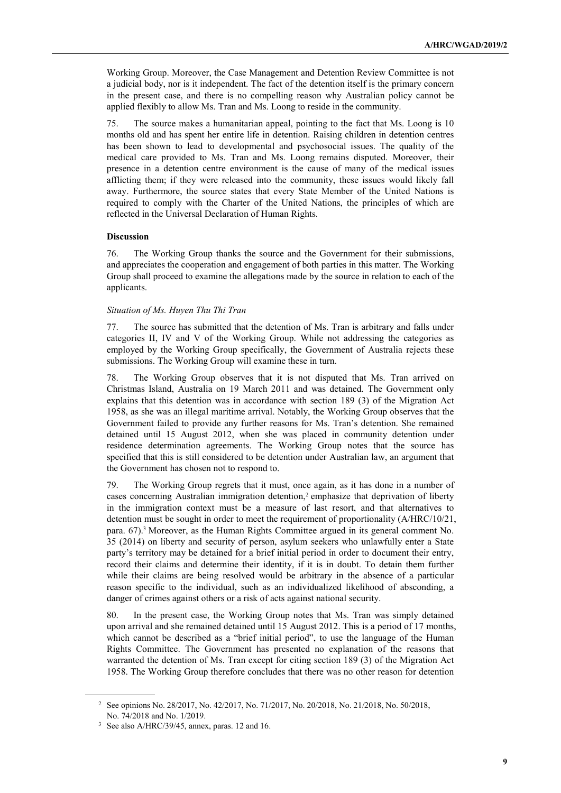Working Group. Moreover, the Case Management and Detention Review Committee is not a judicial body, nor is it independent. The fact of the detention itself is the primary concern in the present case, and there is no compelling reason why Australian policy cannot be applied flexibly to allow Ms. Tran and Ms. Loong to reside in the community.

75. The source makes a humanitarian appeal, pointing to the fact that Ms. Loong is 10 months old and has spent her entire life in detention. Raising children in detention centres has been shown to lead to developmental and psychosocial issues. The quality of the medical care provided to Ms. Tran and Ms. Loong remains disputed. Moreover, their presence in a detention centre environment is the cause of many of the medical issues afflicting them; if they were released into the community, these issues would likely fall away. Furthermore, the source states that every State Member of the United Nations is required to comply with the Charter of the United Nations, the principles of which are reflected in the Universal Declaration of Human Rights.

# Discussion

76. The Working Group thanks the source and the Government for their submissions, and appreciates the cooperation and engagement of both parties in this matter. The Working Group shall proceed to examine the allegations made by the source in relation to each of the applicants.

# Situation of Ms. Huyen Thu Thi Tran

77. The source has submitted that the detention of Ms. Tran is arbitrary and falls under categories II, IV and V of the Working Group. While not addressing the categories as employed by the Working Group specifically, the Government of Australia rejects these submissions. The Working Group will examine these in turn.

78. The Working Group observes that it is not disputed that Ms. Tran arrived on Christmas Island, Australia on 19 March 2011 and was detained. The Government only explains that this detention was in accordance with section 189 (3) of the Migration Act 1958, as she was an illegal maritime arrival. Notably, the Working Group observes that the Government failed to provide any further reasons for Ms. Tran's detention. She remained detained until 15 August 2012, when she was placed in community detention under residence determination agreements. The Working Group notes that the source has specified that this is still considered to be detention under Australian law, an argument that the Government has chosen not to respond to.

79. The Working Group regrets that it must, once again, as it has done in a number of cases concerning Australian immigration detention,<sup>2</sup> emphasize that deprivation of liberty in the immigration context must be a measure of last resort, and that alternatives to detention must be sought in order to meet the requirement of proportionality (A/HRC/10/21, para. 67).<sup>3</sup> Moreover, as the Human Rights Committee argued in its general comment No. 35 (2014) on liberty and security of person, asylum seekers who unlawfully enter a State party's territory may be detained for a brief initial period in order to document their entry, record their claims and determine their identity, if it is in doubt. To detain them further while their claims are being resolved would be arbitrary in the absence of a particular reason specific to the individual, such as an individualized likelihood of absconding, a danger of crimes against others or a risk of acts against national security.

80. In the present case, the Working Group notes that Ms. Tran was simply detained upon arrival and she remained detained until 15 August 2012. This is a period of 17 months, which cannot be described as a "brief initial period", to use the language of the Human Rights Committee. The Government has presented no explanation of the reasons that warranted the detention of Ms. Tran except for citing section 189 (3) of the Migration Act 1958. The Working Group therefore concludes that there was no other reason for detention

<sup>2</sup> See opinions No. 28/2017, No. 42/2017, No. 71/2017, No. 20/2018, No. 21/2018, No. 50/2018, No. 74/2018 and No. 1/2019.

<sup>3</sup> See also A/HRC/39/45, annex, paras. 12 and 16.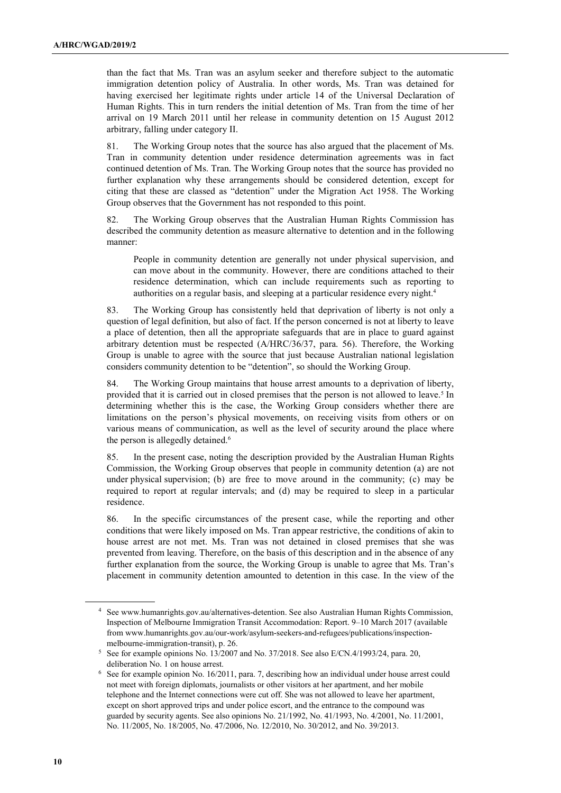than the fact that Ms. Tran was an asylum seeker and therefore subject to the automatic immigration detention policy of Australia. In other words, Ms. Tran was detained for having exercised her legitimate rights under article 14 of the Universal Declaration of Human Rights. This in turn renders the initial detention of Ms. Tran from the time of her arrival on 19 March 2011 until her release in community detention on 15 August 2012 arbitrary, falling under category II.

81. The Working Group notes that the source has also argued that the placement of Ms. Tran in community detention under residence determination agreements was in fact continued detention of Ms. Tran. The Working Group notes that the source has provided no further explanation why these arrangements should be considered detention, except for citing that these are classed as "detention" under the Migration Act 1958. The Working Group observes that the Government has not responded to this point.

82. The Working Group observes that the Australian Human Rights Commission has described the community detention as measure alternative to detention and in the following manner:

 People in community detention are generally not under physical supervision, and can move about in the community. However, there are conditions attached to their residence determination, which can include requirements such as reporting to authorities on a regular basis, and sleeping at a particular residence every night.<sup>4</sup>

83. The Working Group has consistently held that deprivation of liberty is not only a question of legal definition, but also of fact. If the person concerned is not at liberty to leave a place of detention, then all the appropriate safeguards that are in place to guard against arbitrary detention must be respected (A/HRC/36/37, para. 56). Therefore, the Working Group is unable to agree with the source that just because Australian national legislation considers community detention to be "detention", so should the Working Group.

84. The Working Group maintains that house arrest amounts to a deprivation of liberty, provided that it is carried out in closed premises that the person is not allowed to leave.<sup>5</sup> In determining whether this is the case, the Working Group considers whether there are limitations on the person's physical movements, on receiving visits from others or on various means of communication, as well as the level of security around the place where the person is allegedly detained.<sup>6</sup>

85. In the present case, noting the description provided by the Australian Human Rights Commission, the Working Group observes that people in community detention (a) are not under physical supervision; (b) are free to move around in the community; (c) may be required to report at regular intervals; and (d) may be required to sleep in a particular residence.

86. In the specific circumstances of the present case, while the reporting and other conditions that were likely imposed on Ms. Tran appear restrictive, the conditions of akin to house arrest are not met. Ms. Tran was not detained in closed premises that she was prevented from leaving. Therefore, on the basis of this description and in the absence of any further explanation from the source, the Working Group is unable to agree that Ms. Tran's placement in community detention amounted to detention in this case. In the view of the

<sup>4</sup> See www.humanrights.gov.au/alternatives-detention. See also Australian Human Rights Commission, Inspection of Melbourne Immigration Transit Accommodation: Report. 9–10 March 2017 (available from www.humanrights.gov.au/our-work/asylum-seekers-and-refugees/publications/inspectionmelbourne-immigration-transit), p. 26.

<sup>5</sup> See for example opinions No. 13/2007 and No. 37/2018. See also E/CN.4/1993/24, para. 20, deliberation No. 1 on house arrest.

<sup>6</sup> See for example opinion No. 16/2011, para. 7, describing how an individual under house arrest could not meet with foreign diplomats, journalists or other visitors at her apartment, and her mobile telephone and the Internet connections were cut off. She was not allowed to leave her apartment, except on short approved trips and under police escort, and the entrance to the compound was guarded by security agents. See also opinions No. 21/1992, No. 41/1993, No. 4/2001, No. 11/2001, No. 11/2005, No. 18/2005, No. 47/2006, No. 12/2010, No. 30/2012, and No. 39/2013.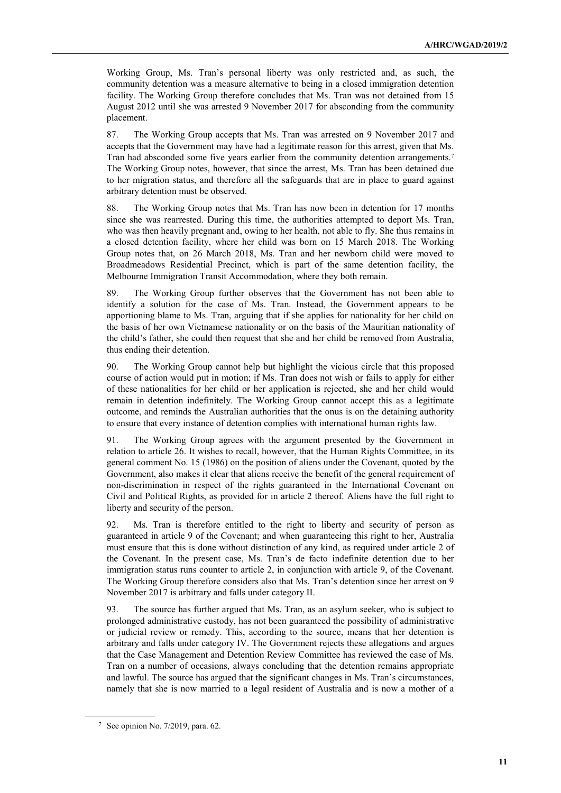Working Group, Ms. Tran's personal liberty was only restricted and, as such, the community detention was a measure alternative to being in a closed immigration detention facility. The Working Group therefore concludes that Ms. Tran was not detained from 15 August 2012 until she was arrested 9 November 2017 for absconding from the community placement.

87. The Working Group accepts that Ms. Tran was arrested on 9 November 2017 and accepts that the Government may have had a legitimate reason for this arrest, given that Ms. Tran had absconded some five years earlier from the community detention arrangements.<sup>7</sup> The Working Group notes, however, that since the arrest, Ms. Tran has been detained due to her migration status, and therefore all the safeguards that are in place to guard against arbitrary detention must be observed.

88. The Working Group notes that Ms. Tran has now been in detention for 17 months since she was rearrested. During this time, the authorities attempted to deport Ms. Tran, who was then heavily pregnant and, owing to her health, not able to fly. She thus remains in a closed detention facility, where her child was born on 15 March 2018. The Working Group notes that, on 26 March 2018, Ms. Tran and her newborn child were moved to Broadmeadows Residential Precinct, which is part of the same detention facility, the Melbourne Immigration Transit Accommodation, where they both remain.

89. The Working Group further observes that the Government has not been able to identify a solution for the case of Ms. Tran. Instead, the Government appears to be apportioning blame to Ms. Tran, arguing that if she applies for nationality for her child on the basis of her own Vietnamese nationality or on the basis of the Mauritian nationality of the child's father, she could then request that she and her child be removed from Australia, thus ending their detention.

90. The Working Group cannot help but highlight the vicious circle that this proposed course of action would put in motion; if Ms. Tran does not wish or fails to apply for either of these nationalities for her child or her application is rejected, she and her child would remain in detention indefinitely. The Working Group cannot accept this as a legitimate outcome, and reminds the Australian authorities that the onus is on the detaining authority to ensure that every instance of detention complies with international human rights law.

91. The Working Group agrees with the argument presented by the Government in relation to article 26. It wishes to recall, however, that the Human Rights Committee, in its general comment No. 15 (1986) on the position of aliens under the Covenant, quoted by the Government, also makes it clear that aliens receive the benefit of the general requirement of non-discrimination in respect of the rights guaranteed in the International Covenant on Civil and Political Rights, as provided for in article 2 thereof. Aliens have the full right to liberty and security of the person.

92. Ms. Tran is therefore entitled to the right to liberty and security of person as guaranteed in article 9 of the Covenant; and when guaranteeing this right to her, Australia must ensure that this is done without distinction of any kind, as required under article 2 of the Covenant. In the present case, Ms. Tran's de facto indefinite detention due to her immigration status runs counter to article 2, in conjunction with article 9, of the Covenant. The Working Group therefore considers also that Ms. Tran's detention since her arrest on 9 November 2017 is arbitrary and falls under category II.

93. The source has further argued that Ms. Tran, as an asylum seeker, who is subject to prolonged administrative custody, has not been guaranteed the possibility of administrative or judicial review or remedy. This, according to the source, means that her detention is arbitrary and falls under category IV. The Government rejects these allegations and argues that the Case Management and Detention Review Committee has reviewed the case of Ms. Tran on a number of occasions, always concluding that the detention remains appropriate and lawful. The source has argued that the significant changes in Ms. Tran's circumstances, namely that she is now married to a legal resident of Australia and is now a mother of a

<sup>7</sup> See opinion No. 7/2019, para. 62.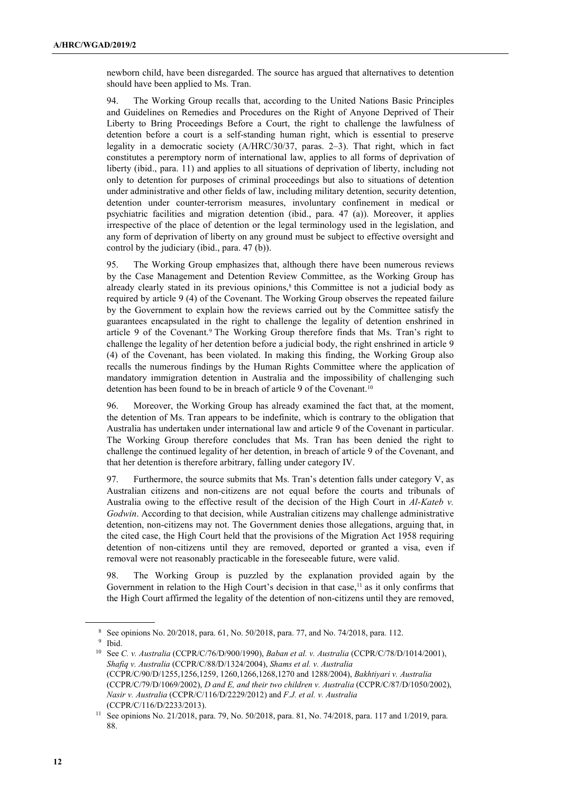newborn child, have been disregarded. The source has argued that alternatives to detention should have been applied to Ms. Tran.

94. The Working Group recalls that, according to the United Nations Basic Principles and Guidelines on Remedies and Procedures on the Right of Anyone Deprived of Their Liberty to Bring Proceedings Before a Court, the right to challenge the lawfulness of detention before a court is a self-standing human right, which is essential to preserve legality in a democratic society (A/HRC/30/37, paras. 2–3). That right, which in fact constitutes a peremptory norm of international law, applies to all forms of deprivation of liberty (ibid., para. 11) and applies to all situations of deprivation of liberty, including not only to detention for purposes of criminal proceedings but also to situations of detention under administrative and other fields of law, including military detention, security detention, detention under counter-terrorism measures, involuntary confinement in medical or psychiatric facilities and migration detention (ibid., para. 47 (a)). Moreover, it applies irrespective of the place of detention or the legal terminology used in the legislation, and any form of deprivation of liberty on any ground must be subject to effective oversight and control by the judiciary (ibid., para. 47 (b)).

95. The Working Group emphasizes that, although there have been numerous reviews by the Case Management and Detention Review Committee, as the Working Group has already clearly stated in its previous opinions,<sup>8</sup> this Committee is not a judicial body as required by article 9 (4) of the Covenant. The Working Group observes the repeated failure by the Government to explain how the reviews carried out by the Committee satisfy the guarantees encapsulated in the right to challenge the legality of detention enshrined in article 9 of the Covenant.<sup>9</sup> The Working Group therefore finds that Ms. Tran's right to challenge the legality of her detention before a judicial body, the right enshrined in article 9 (4) of the Covenant, has been violated. In making this finding, the Working Group also recalls the numerous findings by the Human Rights Committee where the application of mandatory immigration detention in Australia and the impossibility of challenging such detention has been found to be in breach of article 9 of the Covenant.<sup>10</sup>

96. Moreover, the Working Group has already examined the fact that, at the moment, the detention of Ms. Tran appears to be indefinite, which is contrary to the obligation that Australia has undertaken under international law and article 9 of the Covenant in particular. The Working Group therefore concludes that Ms. Tran has been denied the right to challenge the continued legality of her detention, in breach of article 9 of the Covenant, and that her detention is therefore arbitrary, falling under category IV.

97. Furthermore, the source submits that Ms. Tran's detention falls under category V, as Australian citizens and non-citizens are not equal before the courts and tribunals of Australia owing to the effective result of the decision of the High Court in  $Al-Kateb$  v. Godwin. According to that decision, while Australian citizens may challenge administrative detention, non-citizens may not. The Government denies those allegations, arguing that, in the cited case, the High Court held that the provisions of the Migration Act 1958 requiring detention of non-citizens until they are removed, deported or granted a visa, even if removal were not reasonably practicable in the foreseeable future, were valid.

98. The Working Group is puzzled by the explanation provided again by the Government in relation to the High Court's decision in that case,<sup>11</sup> as it only confirms that the High Court affirmed the legality of the detention of non-citizens until they are removed,

<sup>8</sup> See opinions No. 20/2018, para. 61, No. 50/2018, para. 77, and No. 74/2018, para. 112.

<sup>9</sup> Ibid.

<sup>&</sup>lt;sup>10</sup> See C. v. Australia (CCPR/C/76/D/900/1990), Baban et al. v. Australia (CCPR/C/78/D/1014/2001), Shafiq v. Australia (CCPR/C/88/D/1324/2004), Shams et al. v. Australia (CCPR/C/90/D/1255,1256,1259, 1260,1266,1268,1270 and 1288/2004), Bakhtiyari v. Australia (CCPR/C/79/D/1069/2002), D and E, and their two children v. Australia (CCPR/C/87/D/1050/2002), Nasir v. Australia (CCPR/C/116/D/2229/2012) and F.J. et al. v. Australia (CCPR/C/116/D/2233/2013).

<sup>11</sup> See opinions No. 21/2018, para. 79, No. 50/2018, para. 81, No. 74/2018, para. 117 and 1/2019, para. 88.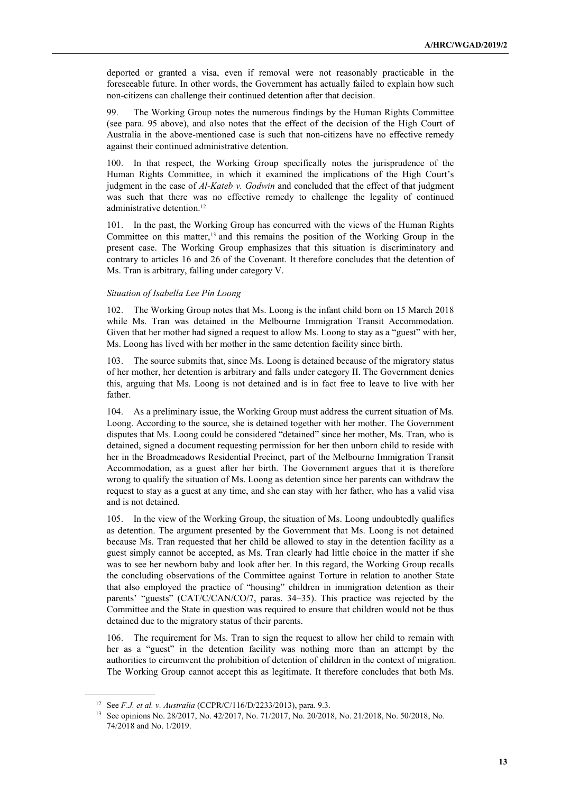deported or granted a visa, even if removal were not reasonably practicable in the foreseeable future. In other words, the Government has actually failed to explain how such non-citizens can challenge their continued detention after that decision.

99. The Working Group notes the numerous findings by the Human Rights Committee (see para. 95 above), and also notes that the effect of the decision of the High Court of Australia in the above-mentioned case is such that non-citizens have no effective remedy against their continued administrative detention.

100. In that respect, the Working Group specifically notes the jurisprudence of the Human Rights Committee, in which it examined the implications of the High Court's judgment in the case of Al-Kateb v. Godwin and concluded that the effect of that judgment was such that there was no effective remedy to challenge the legality of continued administrative detention.<sup>12</sup>

101. In the past, the Working Group has concurred with the views of the Human Rights Committee on this matter,<sup>13</sup> and this remains the position of the Working Group in the present case. The Working Group emphasizes that this situation is discriminatory and contrary to articles 16 and 26 of the Covenant. It therefore concludes that the detention of Ms. Tran is arbitrary, falling under category V.

# Situation of Isabella Lee Pin Loong

102. The Working Group notes that Ms. Loong is the infant child born on 15 March 2018 while Ms. Tran was detained in the Melbourne Immigration Transit Accommodation. Given that her mother had signed a request to allow Ms. Loong to stay as a "guest" with her, Ms. Loong has lived with her mother in the same detention facility since birth.

103. The source submits that, since Ms. Loong is detained because of the migratory status of her mother, her detention is arbitrary and falls under category II. The Government denies this, arguing that Ms. Loong is not detained and is in fact free to leave to live with her father.

104. As a preliminary issue, the Working Group must address the current situation of Ms. Loong. According to the source, she is detained together with her mother. The Government disputes that Ms. Loong could be considered "detained" since her mother, Ms. Tran, who is detained, signed a document requesting permission for her then unborn child to reside with her in the Broadmeadows Residential Precinct, part of the Melbourne Immigration Transit Accommodation, as a guest after her birth. The Government argues that it is therefore wrong to qualify the situation of Ms. Loong as detention since her parents can withdraw the request to stay as a guest at any time, and she can stay with her father, who has a valid visa and is not detained.

105. In the view of the Working Group, the situation of Ms. Loong undoubtedly qualifies as detention. The argument presented by the Government that Ms. Loong is not detained because Ms. Tran requested that her child be allowed to stay in the detention facility as a guest simply cannot be accepted, as Ms. Tran clearly had little choice in the matter if she was to see her newborn baby and look after her. In this regard, the Working Group recalls the concluding observations of the Committee against Torture in relation to another State that also employed the practice of "housing" children in immigration detention as their parents' "guests" (CAT/C/CAN/CO/7, paras. 34–35). This practice was rejected by the Committee and the State in question was required to ensure that children would not be thus detained due to the migratory status of their parents.

106. The requirement for Ms. Tran to sign the request to allow her child to remain with her as a "guest" in the detention facility was nothing more than an attempt by the authorities to circumvent the prohibition of detention of children in the context of migration. The Working Group cannot accept this as legitimate. It therefore concludes that both Ms.

<sup>&</sup>lt;sup>12</sup> See *F.J. et al. v. Australia* (CCPR/C/116/D/2233/2013), para. 9.3.

<sup>13</sup> See opinions No. 28/2017, No. 42/2017, No. 71/2017, No. 20/2018, No. 21/2018, No. 50/2018, No. 74/2018 and No. 1/2019.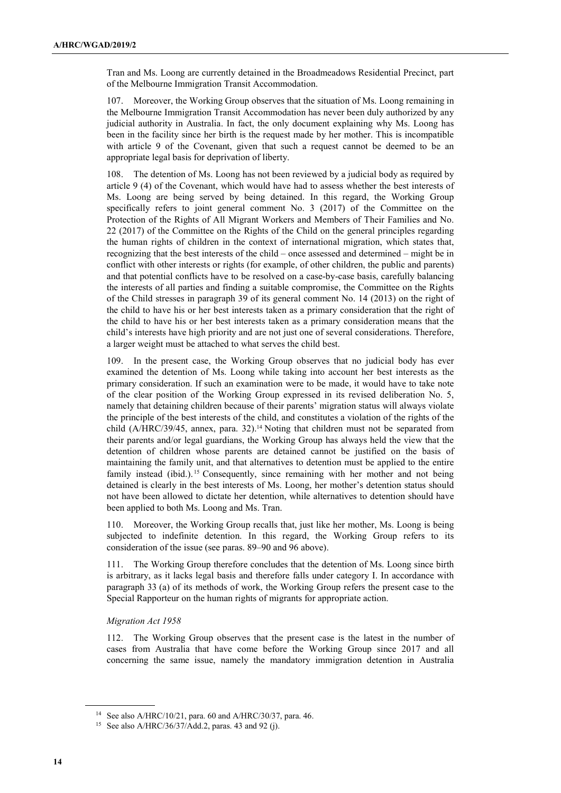Tran and Ms. Loong are currently detained in the Broadmeadows Residential Precinct, part of the Melbourne Immigration Transit Accommodation.

107. Moreover, the Working Group observes that the situation of Ms. Loong remaining in the Melbourne Immigration Transit Accommodation has never been duly authorized by any judicial authority in Australia. In fact, the only document explaining why Ms. Loong has been in the facility since her birth is the request made by her mother. This is incompatible with article 9 of the Covenant, given that such a request cannot be deemed to be an appropriate legal basis for deprivation of liberty.

108. The detention of Ms. Loong has not been reviewed by a judicial body as required by article 9 (4) of the Covenant, which would have had to assess whether the best interests of Ms. Loong are being served by being detained. In this regard, the Working Group specifically refers to joint general comment No. 3 (2017) of the Committee on the Protection of the Rights of All Migrant Workers and Members of Their Families and No. 22 (2017) of the Committee on the Rights of the Child on the general principles regarding the human rights of children in the context of international migration, which states that, recognizing that the best interests of the child – once assessed and determined – might be in conflict with other interests or rights (for example, of other children, the public and parents) and that potential conflicts have to be resolved on a case-by-case basis, carefully balancing the interests of all parties and finding a suitable compromise, the Committee on the Rights of the Child stresses in paragraph 39 of its general comment No. 14 (2013) on the right of the child to have his or her best interests taken as a primary consideration that the right of the child to have his or her best interests taken as a primary consideration means that the child's interests have high priority and are not just one of several considerations. Therefore, a larger weight must be attached to what serves the child best.

109. In the present case, the Working Group observes that no judicial body has ever examined the detention of Ms. Loong while taking into account her best interests as the primary consideration. If such an examination were to be made, it would have to take note of the clear position of the Working Group expressed in its revised deliberation No. 5, namely that detaining children because of their parents' migration status will always violate the principle of the best interests of the child, and constitutes a violation of the rights of the child (A/HRC/39/45, annex, para. 32).14 Noting that children must not be separated from their parents and/or legal guardians, the Working Group has always held the view that the detention of children whose parents are detained cannot be justified on the basis of maintaining the family unit, and that alternatives to detention must be applied to the entire family instead (ibid.).<sup>15</sup> Consequently, since remaining with her mother and not being detained is clearly in the best interests of Ms. Loong, her mother's detention status should not have been allowed to dictate her detention, while alternatives to detention should have been applied to both Ms. Loong and Ms. Tran.

110. Moreover, the Working Group recalls that, just like her mother, Ms. Loong is being subjected to indefinite detention. In this regard, the Working Group refers to its consideration of the issue (see paras. 89–90 and 96 above).

111. The Working Group therefore concludes that the detention of Ms. Loong since birth is arbitrary, as it lacks legal basis and therefore falls under category I. In accordance with paragraph 33 (a) of its methods of work, the Working Group refers the present case to the Special Rapporteur on the human rights of migrants for appropriate action.

# Migration Act 1958

112. The Working Group observes that the present case is the latest in the number of cases from Australia that have come before the Working Group since 2017 and all concerning the same issue, namely the mandatory immigration detention in Australia

<sup>14</sup> See also A/HRC/10/21, para. 60 and A/HRC/30/37, para. 46.

<sup>15</sup> See also A/HRC/36/37/Add.2, paras. 43 and 92 (j).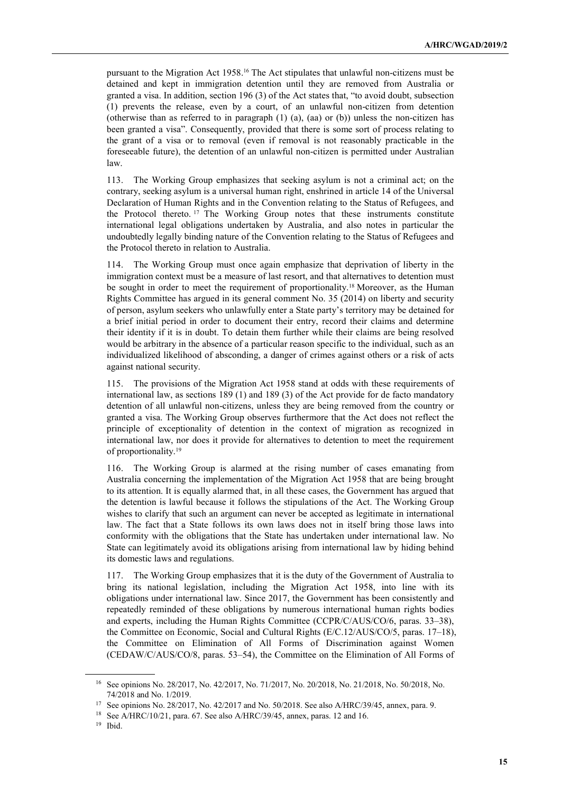pursuant to the Migration Act 1958.16 The Act stipulates that unlawful non-citizens must be detained and kept in immigration detention until they are removed from Australia or granted a visa. In addition, section 196 (3) of the Act states that, "to avoid doubt, subsection (1) prevents the release, even by a court, of an unlawful non-citizen from detention (otherwise than as referred to in paragraph (1) (a), (aa) or (b)) unless the non-citizen has been granted a visa". Consequently, provided that there is some sort of process relating to the grant of a visa or to removal (even if removal is not reasonably practicable in the foreseeable future), the detention of an unlawful non-citizen is permitted under Australian law.

113. The Working Group emphasizes that seeking asylum is not a criminal act; on the contrary, seeking asylum is a universal human right, enshrined in article 14 of the Universal Declaration of Human Rights and in the Convention relating to the Status of Refugees, and the Protocol thereto. <sup>17</sup> The Working Group notes that these instruments constitute international legal obligations undertaken by Australia, and also notes in particular the undoubtedly legally binding nature of the Convention relating to the Status of Refugees and the Protocol thereto in relation to Australia.

114. The Working Group must once again emphasize that deprivation of liberty in the immigration context must be a measure of last resort, and that alternatives to detention must be sought in order to meet the requirement of proportionality.<sup>18</sup> Moreover, as the Human Rights Committee has argued in its general comment No. 35 (2014) on liberty and security of person, asylum seekers who unlawfully enter a State party's territory may be detained for a brief initial period in order to document their entry, record their claims and determine their identity if it is in doubt. To detain them further while their claims are being resolved would be arbitrary in the absence of a particular reason specific to the individual, such as an individualized likelihood of absconding, a danger of crimes against others or a risk of acts against national security.

115. The provisions of the Migration Act 1958 stand at odds with these requirements of international law, as sections 189 (1) and 189 (3) of the Act provide for de facto mandatory detention of all unlawful non-citizens, unless they are being removed from the country or granted a visa. The Working Group observes furthermore that the Act does not reflect the principle of exceptionality of detention in the context of migration as recognized in international law, nor does it provide for alternatives to detention to meet the requirement of proportionality.<sup>19</sup>

116. The Working Group is alarmed at the rising number of cases emanating from Australia concerning the implementation of the Migration Act 1958 that are being brought to its attention. It is equally alarmed that, in all these cases, the Government has argued that the detention is lawful because it follows the stipulations of the Act. The Working Group wishes to clarify that such an argument can never be accepted as legitimate in international law. The fact that a State follows its own laws does not in itself bring those laws into conformity with the obligations that the State has undertaken under international law. No State can legitimately avoid its obligations arising from international law by hiding behind its domestic laws and regulations.

117. The Working Group emphasizes that it is the duty of the Government of Australia to bring its national legislation, including the Migration Act 1958, into line with its obligations under international law. Since 2017, the Government has been consistently and repeatedly reminded of these obligations by numerous international human rights bodies and experts, including the Human Rights Committee (CCPR/C/AUS/CO/6, paras. 33–38), the Committee on Economic, Social and Cultural Rights (E/C.12/AUS/CO/5, paras. 17–18), the Committee on Elimination of All Forms of Discrimination against Women (CEDAW/C/AUS/CO/8, paras. 53–54), the Committee on the Elimination of All Forms of

<sup>16</sup> See opinions No. 28/2017, No. 42/2017, No. 71/2017, No. 20/2018, No. 21/2018, No. 50/2018, No. 74/2018 and No. 1/2019.

<sup>&</sup>lt;sup>17</sup> See opinions No. 28/2017, No. 42/2017 and No. 50/2018. See also A/HRC/39/45, annex, para. 9.

<sup>18</sup> See A/HRC/10/21, para. 67. See also A/HRC/39/45, annex, paras. 12 and 16.

<sup>19</sup> Ibid.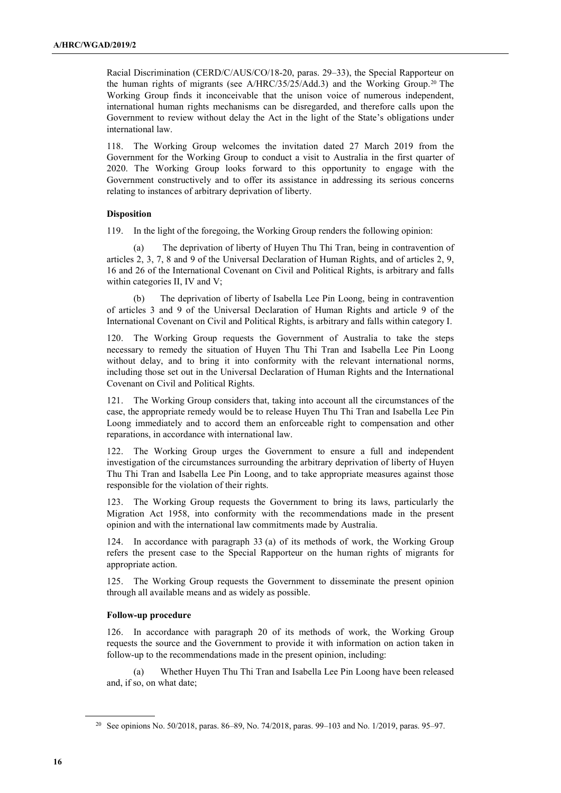Racial Discrimination (CERD/C/AUS/CO/18-20, paras. 29–33), the Special Rapporteur on the human rights of migrants (see A/HRC/35/25/Add.3) and the Working Group.<sup>20</sup> The Working Group finds it inconceivable that the unison voice of numerous independent, international human rights mechanisms can be disregarded, and therefore calls upon the Government to review without delay the Act in the light of the State's obligations under international law.

118. The Working Group welcomes the invitation dated 27 March 2019 from the Government for the Working Group to conduct a visit to Australia in the first quarter of 2020. The Working Group looks forward to this opportunity to engage with the Government constructively and to offer its assistance in addressing its serious concerns relating to instances of arbitrary deprivation of liberty.

# **Disposition**

119. In the light of the foregoing, the Working Group renders the following opinion:

The deprivation of liberty of Huyen Thu Thi Tran, being in contravention of articles 2, 3, 7, 8 and 9 of the Universal Declaration of Human Rights, and of articles 2, 9, 16 and 26 of the International Covenant on Civil and Political Rights, is arbitrary and falls within categories II, IV and V;

The deprivation of liberty of Isabella Lee Pin Loong, being in contravention of articles 3 and 9 of the Universal Declaration of Human Rights and article 9 of the International Covenant on Civil and Political Rights, is arbitrary and falls within category I.

120. The Working Group requests the Government of Australia to take the steps necessary to remedy the situation of Huyen Thu Thi Tran and Isabella Lee Pin Loong without delay, and to bring it into conformity with the relevant international norms, including those set out in the Universal Declaration of Human Rights and the International Covenant on Civil and Political Rights.

121. The Working Group considers that, taking into account all the circumstances of the case, the appropriate remedy would be to release Huyen Thu Thi Tran and Isabella Lee Pin Loong immediately and to accord them an enforceable right to compensation and other reparations, in accordance with international law.

122. The Working Group urges the Government to ensure a full and independent investigation of the circumstances surrounding the arbitrary deprivation of liberty of Huyen Thu Thi Tran and Isabella Lee Pin Loong, and to take appropriate measures against those responsible for the violation of their rights.

123. The Working Group requests the Government to bring its laws, particularly the Migration Act 1958, into conformity with the recommendations made in the present opinion and with the international law commitments made by Australia.

124. In accordance with paragraph 33 (a) of its methods of work, the Working Group refers the present case to the Special Rapporteur on the human rights of migrants for appropriate action.

125. The Working Group requests the Government to disseminate the present opinion through all available means and as widely as possible.

# Follow-up procedure

126. In accordance with paragraph 20 of its methods of work, the Working Group requests the source and the Government to provide it with information on action taken in follow-up to the recommendations made in the present opinion, including:

 (a) Whether Huyen Thu Thi Tran and Isabella Lee Pin Loong have been released and, if so, on what date;

<sup>&</sup>lt;sup>20</sup> See opinions No. 50/2018, paras. 86–89, No. 74/2018, paras. 99–103 and No. 1/2019, paras. 95–97.